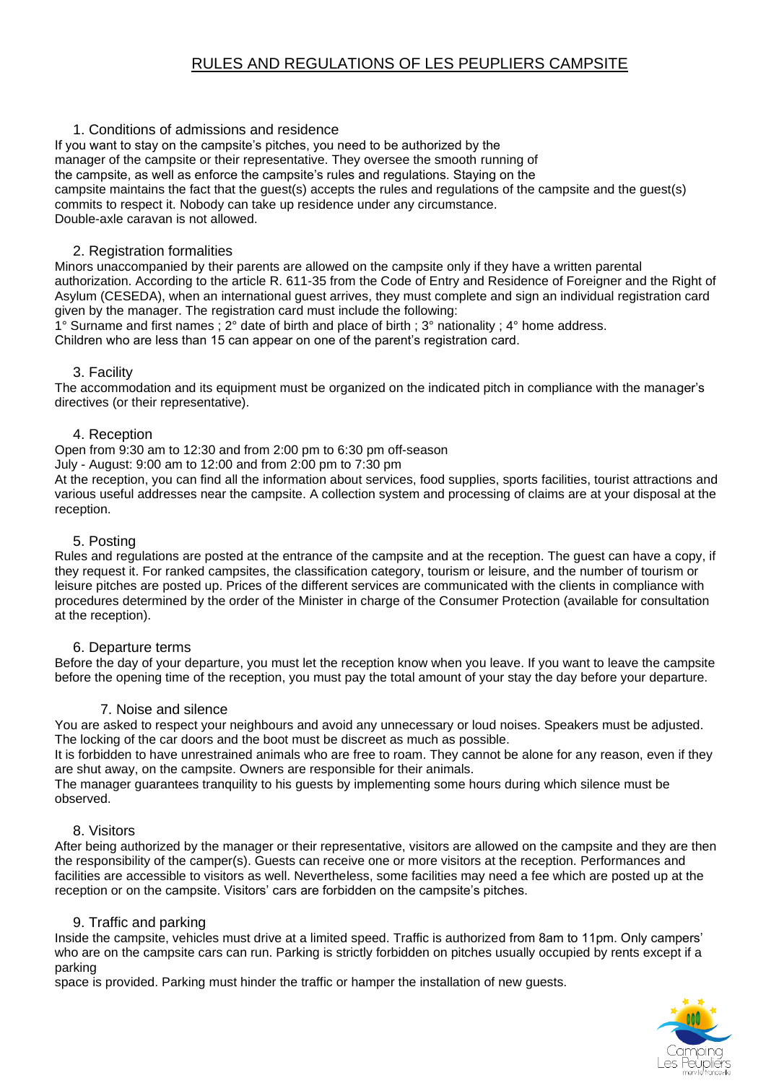# RULES AND REGULATIONS OF LES PEUPLIERS CAMPSITE

## 1. Conditions of admissions and residence

If you want to stay on the campsite's pitches, you need to be authorized by the manager of the campsite or their representative. They oversee the smooth running of the campsite, as well as enforce the campsite's rules and regulations. Staying on the campsite maintains the fact that the guest(s) accepts the rules and regulations of the campsite and the guest(s) commits to respect it. Nobody can take up residence under any circumstance. Double-axle caravan is not allowed.

## 2. Registration formalities

Minors unaccompanied by their parents are allowed on the campsite only if they have a written parental authorization. According to the article R. 611-35 from the Code of Entry and Residence of Foreigner and the Right of Asylum (CESEDA), when an international guest arrives, they must complete and sign an individual registration card given by the manager. The registration card must include the following:

1° Surname and first names ; 2° date of birth and place of birth ; 3° nationality ; 4° home address.

Children who are less than 15 can appear on one of the parent's registration card.

### 3. Facility

The accommodation and its equipment must be organized on the indicated pitch in compliance with the manager's directives (or their representative).

### 4. Reception

Open from 9:30 am to 12:30 and from 2:00 pm to 6:30 pm off-season

July - August: 9:00 am to 12:00 and from 2:00 pm to 7:30 pm

At the reception, you can find all the information about services, food supplies, sports facilities, tourist attractions and various useful addresses near the campsite. A collection system and processing of claims are at your disposal at the reception.

### 5. Posting

Rules and regulations are posted at the entrance of the campsite and at the reception. The guest can have a copy, if they request it. For ranked campsites, the classification category, tourism or leisure, and the number of tourism or leisure pitches are posted up. Prices of the different services are communicated with the clients in compliance with procedures determined by the order of the Minister in charge of the Consumer Protection (available for consultation at the reception).

### 6. Departure terms

Before the day of your departure, you must let the reception know when you leave. If you want to leave the campsite before the opening time of the reception, you must pay the total amount of your stay the day before your departure.

### 7. Noise and silence

You are asked to respect your neighbours and avoid any unnecessary or loud noises. Speakers must be adjusted. The locking of the car doors and the boot must be discreet as much as possible.

It is forbidden to have unrestrained animals who are free to roam. They cannot be alone for any reason, even if they are shut away, on the campsite. Owners are responsible for their animals.

The manager guarantees tranquility to his guests by implementing some hours during which silence must be observed.

### 8. Visitors

After being authorized by the manager or their representative, visitors are allowed on the campsite and they are then the responsibility of the camper(s). Guests can receive one or more visitors at the reception. Performances and facilities are accessible to visitors as well. Nevertheless, some facilities may need a fee which are posted up at the reception or on the campsite. Visitors' cars are forbidden on the campsite's pitches.

### 9. Traffic and parking

Inside the campsite, vehicles must drive at a limited speed. Traffic is authorized from 8am to 11pm. Only campers' who are on the campsite cars can run. Parking is strictly forbidden on pitches usually occupied by rents except if a parking

space is provided. Parking must hinder the traffic or hamper the installation of new guests.